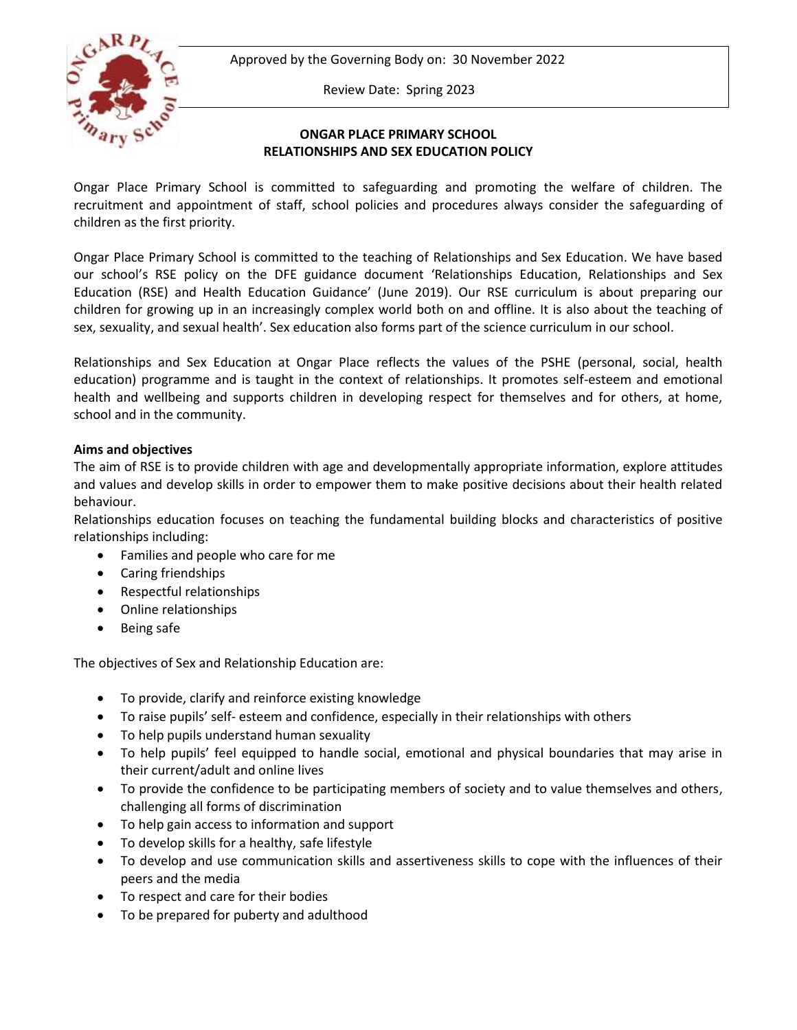Approved by the Governing Body on: 30 November 2022



Review Date: Spring 2023

## **ONGAR PLACE PRIMARY SCHOOL RELATIONSHIPS AND SEX EDUCATION POLICY**

Ongar Place Primary School is committed to safeguarding and promoting the welfare of children. The recruitment and appointment of staff, school policies and procedures always consider the safeguarding of children as the first priority.

Ongar Place Primary School is committed to the teaching of Relationships and Sex Education. We have based our school's RSE policy on the DFE guidance document 'Relationships Education, Relationships and Sex Education (RSE) and Health Education Guidance' (June 2019). Our RSE curriculum is about preparing our children for growing up in an increasingly complex world both on and offline. It is also about the teaching of sex, sexuality, and sexual health'. Sex education also forms part of the science curriculum in our school.

Relationships and Sex Education at Ongar Place reflects the values of the PSHE (personal, social, health education) programme and is taught in the context of relationships. It promotes self-esteem and emotional health and wellbeing and supports children in developing respect for themselves and for others, at home, school and in the community.

## **Aims and objectives**

The aim of RSE is to provide children with age and developmentally appropriate information, explore attitudes and values and develop skills in order to empower them to make positive decisions about their health related behaviour.

Relationships education focuses on teaching the fundamental building blocks and characteristics of positive relationships including:

- Families and people who care for me
- Caring friendships
- Respectful relationships
- Online relationships
- Being safe

The objectives of Sex and Relationship Education are:

- To provide, clarify and reinforce existing knowledge
- To raise pupils' self- esteem and confidence, especially in their relationships with others
- To help pupils understand human sexuality
- To help pupils' feel equipped to handle social, emotional and physical boundaries that may arise in their current/adult and online lives
- To provide the confidence to be participating members of society and to value themselves and others, challenging all forms of discrimination
- To help gain access to information and support
- To develop skills for a healthy, safe lifestyle
- To develop and use communication skills and assertiveness skills to cope with the influences of their peers and the media
- To respect and care for their bodies
- To be prepared for puberty and adulthood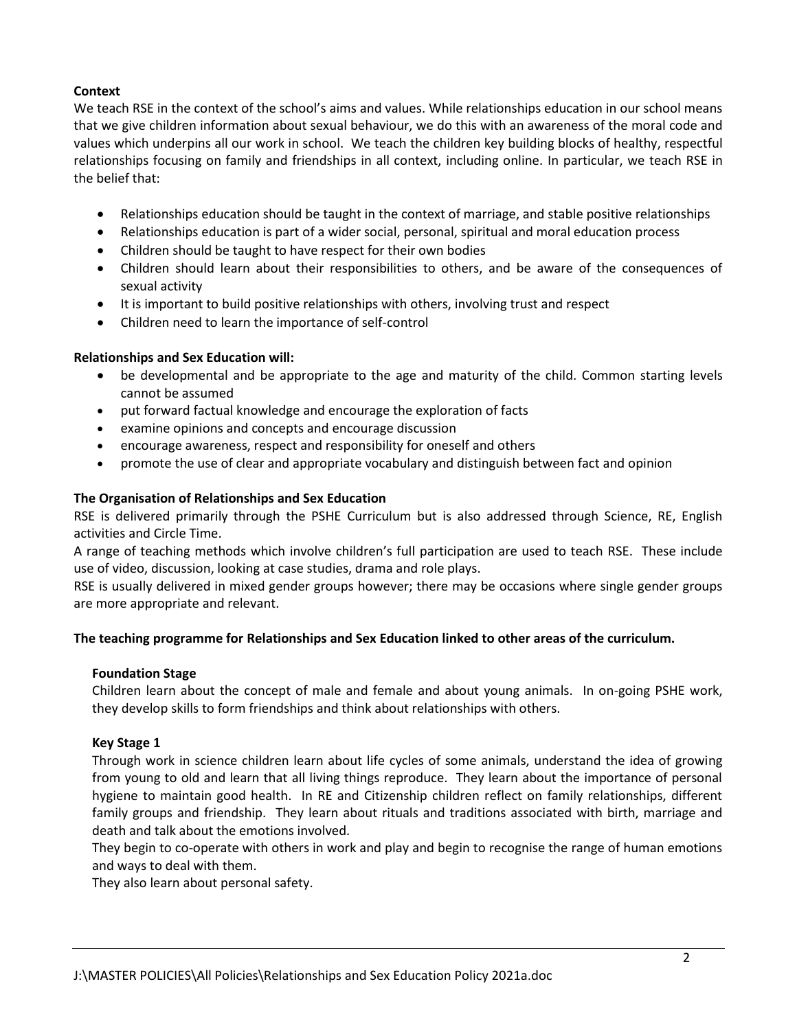## **Context**

We teach RSE in the context of the school's aims and values. While relationships education in our school means that we give children information about sexual behaviour, we do this with an awareness of the moral code and values which underpins all our work in school. We teach the children key building blocks of healthy, respectful relationships focusing on family and friendships in all context, including online. In particular, we teach RSE in the belief that:

- Relationships education should be taught in the context of marriage, and stable positive relationships
- Relationships education is part of a wider social, personal, spiritual and moral education process
- Children should be taught to have respect for their own bodies
- Children should learn about their responsibilities to others, and be aware of the consequences of sexual activity
- It is important to build positive relationships with others, involving trust and respect
- Children need to learn the importance of self-control

## **Relationships and Sex Education will:**

- be developmental and be appropriate to the age and maturity of the child. Common starting levels cannot be assumed
- put forward factual knowledge and encourage the exploration of facts
- examine opinions and concepts and encourage discussion
- encourage awareness, respect and responsibility for oneself and others
- promote the use of clear and appropriate vocabulary and distinguish between fact and opinion

## **The Organisation of Relationships and Sex Education**

RSE is delivered primarily through the PSHE Curriculum but is also addressed through Science, RE, English activities and Circle Time.

A range of teaching methods which involve children's full participation are used to teach RSE. These include use of video, discussion, looking at case studies, drama and role plays.

RSE is usually delivered in mixed gender groups however; there may be occasions where single gender groups are more appropriate and relevant.

#### **The teaching programme for Relationships and Sex Education linked to other areas of the curriculum.**

#### **Foundation Stage**

Children learn about the concept of male and female and about young animals. In on-going PSHE work, they develop skills to form friendships and think about relationships with others.

## **Key Stage 1**

Through work in science children learn about life cycles of some animals, understand the idea of growing from young to old and learn that all living things reproduce. They learn about the importance of personal hygiene to maintain good health. In RE and Citizenship children reflect on family relationships, different family groups and friendship. They learn about rituals and traditions associated with birth, marriage and death and talk about the emotions involved.

They begin to co-operate with others in work and play and begin to recognise the range of human emotions and ways to deal with them.

They also learn about personal safety.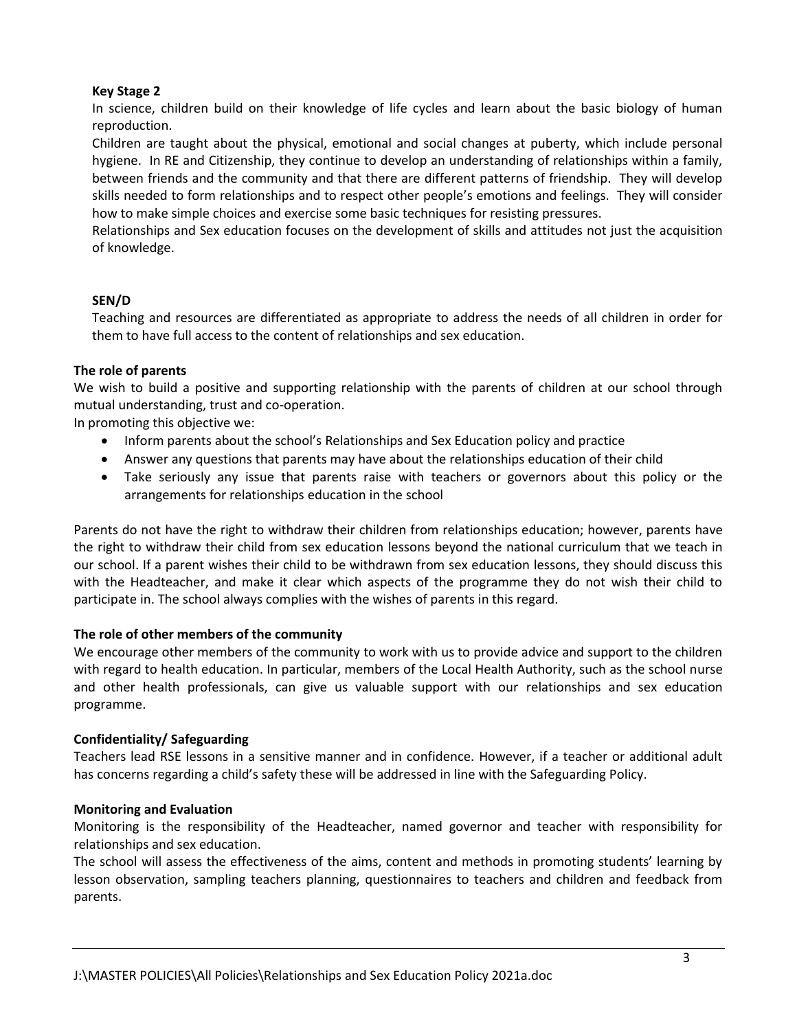#### **Key Stage 2**

In science, children build on their knowledge of life cycles and learn about the basic biology of human reproduction.

Children are taught about the physical, emotional and social changes at puberty, which include personal hygiene. In RE and Citizenship, they continue to develop an understanding of relationships within a family, between friends and the community and that there are different patterns of friendship. They will develop skills needed to form relationships and to respect other people's emotions and feelings. They will consider how to make simple choices and exercise some basic techniques for resisting pressures.

Relationships and Sex education focuses on the development of skills and attitudes not just the acquisition of knowledge.

# **SEN/D**

Teaching and resources are differentiated as appropriate to address the needs of all children in order for them to have full access to the content of relationships and sex education.

#### **The role of parents**

We wish to build a positive and supporting relationship with the parents of children at our school through mutual understanding, trust and co-operation.

In promoting this objective we:

- Inform parents about the school's Relationships and Sex Education policy and practice
- Answer any questions that parents may have about the relationships education of their child
- Take seriously any issue that parents raise with teachers or governors about this policy or the arrangements for relationships education in the school

Parents do not have the right to withdraw their children from relationships education; however, parents have the right to withdraw their child from sex education lessons beyond the national curriculum that we teach in our school. If a parent wishes their child to be withdrawn from sex education lessons, they should discuss this with the Headteacher, and make it clear which aspects of the programme they do not wish their child to participate in. The school always complies with the wishes of parents in this regard.

## **The role of other members of the community**

We encourage other members of the community to work with us to provide advice and support to the children with regard to health education. In particular, members of the Local Health Authority, such as the school nurse and other health professionals, can give us valuable support with our relationships and sex education programme.

## **Confidentiality/ Safeguarding**

Teachers lead RSE lessons in a sensitive manner and in confidence. However, if a teacher or additional adult has concerns regarding a child's safety these will be addressed in line with the Safeguarding Policy.

#### **Monitoring and Evaluation**

Monitoring is the responsibility of the Headteacher, named governor and teacher with responsibility for relationships and sex education.

The school will assess the effectiveness of the aims, content and methods in promoting students' learning by lesson observation, sampling teachers planning, questionnaires to teachers and children and feedback from parents.